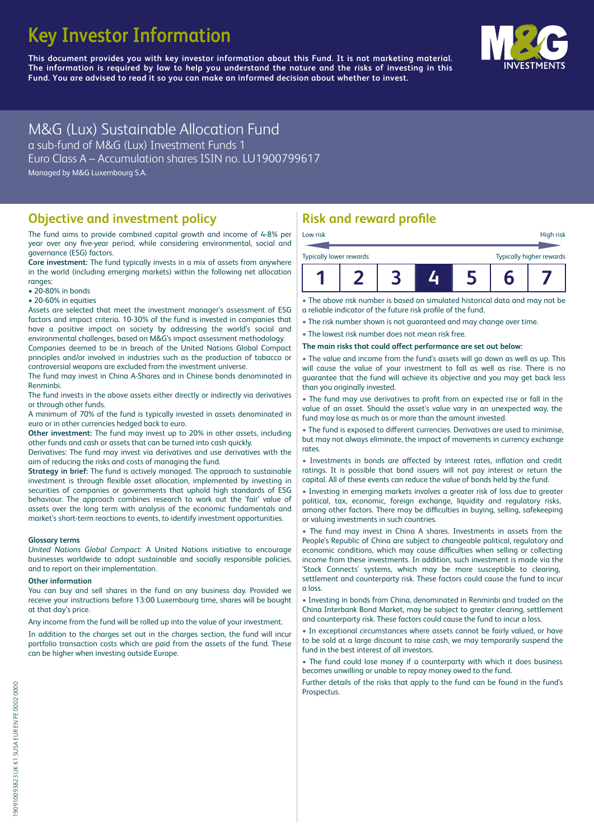# **Key Investor Information**

**This document provides you with key investor information about this Fund. It is not marketing material.** The information is required by law to help you understand the nature and the risks of investing in this **Fund. You are advised to read it so you can make an informed decision about whether to invest.**



M&G (Lux) Sustainable Allocation Fund a sub-fund of M&G (Lux) Investment Funds 1 Euro Class A – Accumulation shares ISIN no. LU1900799617 Managed by M&G Luxembourg S.A.

### **Objective and investment policy**

The fund aims to provide combined capital growth and income of 4-8% per year over any five-year period, while considering environmental, social and governance (ESG) factors.

**Core investment:** The fund typically invests in a mix of assets from anywhere in the world (including emerging markets) within the following net allocation ranges:

- 20-80% in bonds
- 20-60% in equities

Assets are selected that meet the investment manager's assessment of ESG factors and impact criteria. 10-30% of the fund is invested in companies that have a positive impact on society by addressing the world's social and environmental challenges, based on M&G's impact assessment methodology.

Companies deemed to be in breach of the United Nations Global Compact principles and/or involved in industries such as the production of tobacco or controversial weapons are excluded from the investment universe.

The fund may invest in China A-Shares and in Chinese bonds denominated in Renminbi.

The fund invests in the above assets either directly or indirectly via derivatives or through other funds.

A minimum of 70% of the fund is typically invested in assets denominated in euro or in other currencies hedged back to euro.

**Other investment:** The fund may invest up to 20% in other assets, including other funds and cash or assets that can be turned into cash quickly.

Derivatives: The fund may invest via derivatives and use derivatives with the aim of reducing the risks and costs of managing the fund.

**Strategy in brief:** The fund is actively managed. The approach to sustainable investment is through flexible asset allocation, implemented by investing in securities of companies or governments that uphold high standards of ESG behaviour. The approach combines research to work out the 'fair' value of assets over the long term with analysis of the economic fundamentals and market's short-term reactions to events, to identify investment opportunities.

### **Glossary terms**

*United Nations Global Compact:* A United Nations initiative to encourage businesses worldwide to adopt sustainable and socially responsible policies, and to report on their implementation.

### **Other information**

You can buy and sell shares in the fund on any business day. Provided we receive your instructions before 13:00 Luxembourg time, shares will be bought at that day's price.

Any income from the fund will be rolled up into the value of your investment.

In addition to the charges set out in the charges section, the fund will incur portfolio transaction costs which are paid from the assets of the fund. These can be higher when investing outside Europe.

# **Risk and reward profile**

| <b>Typically lower rewards</b> |  |  | <b>Typically higher rewards</b> |
|--------------------------------|--|--|---------------------------------|
|                                |  |  |                                 |

• The above risk number is based on simulated historical data and may not be a reliable indicator of the future risk profile of the fund.

• The risk number shown is not guaranteed and may change over time.

• The lowest risk number does not mean risk free.

The main risks that could affect performance are set out below:

• The value and income from the fund's assets will go down as well as up. This will cause the value of your investment to fall as well as rise. There is no guarantee that the fund will achieve its objective and you may get back less than you originally invested.

• The fund may use derivatives to profit from an expected rise or fall in the value of an asset. Should the asset's value vary in an unexpected way, the fund may lose as much as or more than the amount invested.

• The fund is exposed to d'fferent currencies. Derivatives are used to minimise, but may not always eliminate, the impact of movements in currency exchange rates.

• Investments in bonds are affected by interest rates, inflation and credit ratings. It is possible that bond issuers will not pay interest or return the capital. All of these events can reduce the value of bonds held by the fund.

• Investing in emerging markets involves a greater risk of loss due to greater political, tax, economic, foreign exchange, liquidity and regulatory risks, among other factors. There may be difficulties in buying, selling, safekeeping or valuing investments in such countries.

• The fund may invest in China A shares. Investments in assets from the People's Republic of China are subject to changeable political, regulatory and economic conditions, which may cause difficulties when selling or collecting income from these investments. In addition, such investment is made via the 'Stock Connects' systems, which may be more susceptible to clearing, settlement and counterparty risk. These factors could cause the fund to incur a loss.

• Investing in bonds from China, denominated in Renminbi and traded on the China Interbank Bond Market, may be subject to greater clearing, settlement and counterparty risk. These factors could cause the fund to incur a loss.

• In exceptional circumstances where assets cannot be fairly valued, or have to be sold at a large discount to raise cash, we may temporarily suspend the fund in the best interest of all investors.

• The fund could lose money if a counterparty with which it does business becomes unwilling or unable to repay money owed to the fund.

Further details of the risks that apply to the fund can be found in the fund's Prospectus.